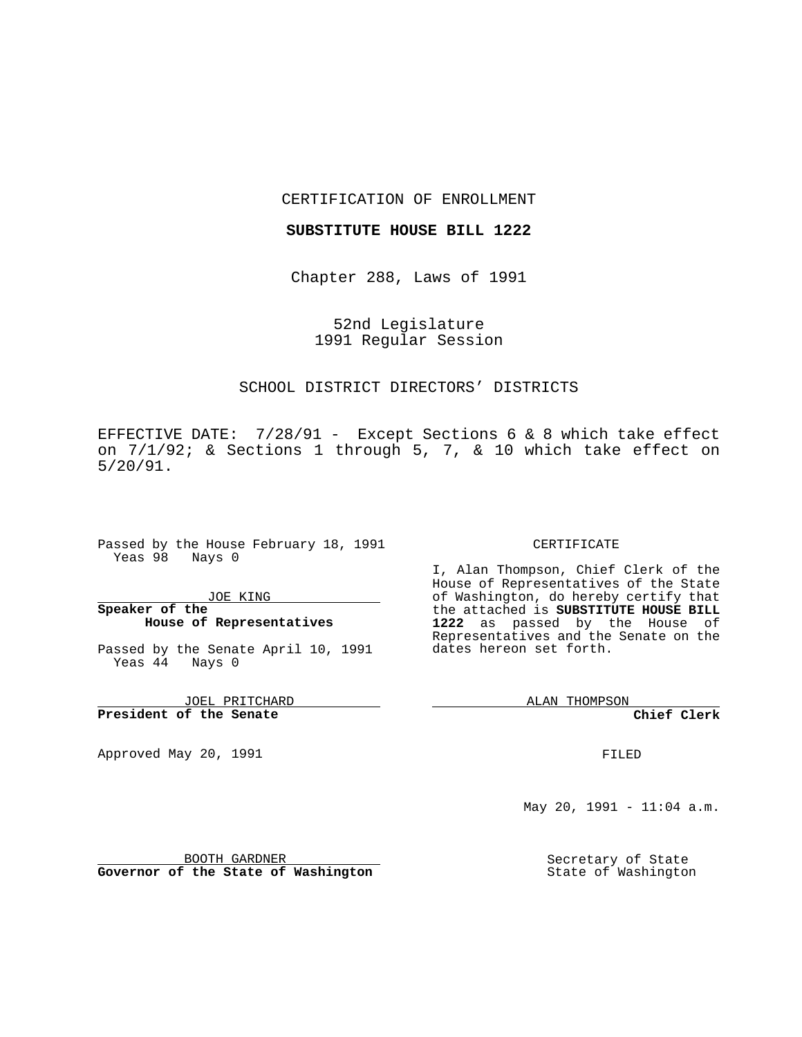### CERTIFICATION OF ENROLLMENT

## **SUBSTITUTE HOUSE BILL 1222**

Chapter 288, Laws of 1991

52nd Legislature 1991 Regular Session

# SCHOOL DISTRICT DIRECTORS' DISTRICTS

EFFECTIVE DATE: 7/28/91 - Except Sections 6 & 8 which take effect on 7/1/92; & Sections 1 through 5, 7, & 10 which take effect on 5/20/91.

Passed by the House February 18, 1991 Yeas 98 Nays 0

JOE KING

# **Speaker of the House of Representatives**

Passed by the Senate April 10, 1991 Yeas 44 Nays 0

JOEL PRITCHARD **President of the Senate**

Approved May 20, 1991

### CERTIFICATE

I, Alan Thompson, Chief Clerk of the House of Representatives of the State of Washington, do hereby certify that the attached is **SUBSTITUTE HOUSE BILL 1222** as passed by the House of Representatives and the Senate on the dates hereon set forth.

ALAN THOMPSON

**Chief Clerk**

FILED

May 20, 1991 - 11:04 a.m.

BOOTH GARDNER **Governor of the State of Washington** Secretary of State State of Washington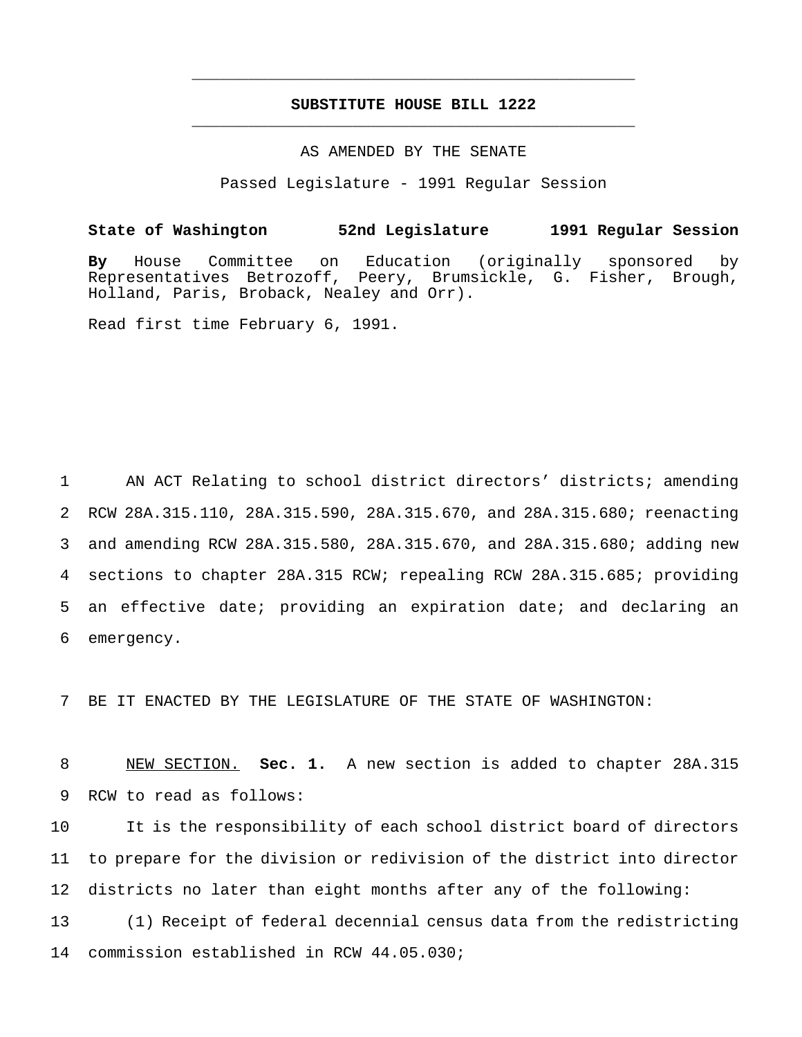# **SUBSTITUTE HOUSE BILL 1222** \_\_\_\_\_\_\_\_\_\_\_\_\_\_\_\_\_\_\_\_\_\_\_\_\_\_\_\_\_\_\_\_\_\_\_\_\_\_\_\_\_\_\_\_\_\_\_

\_\_\_\_\_\_\_\_\_\_\_\_\_\_\_\_\_\_\_\_\_\_\_\_\_\_\_\_\_\_\_\_\_\_\_\_\_\_\_\_\_\_\_\_\_\_\_

## AS AMENDED BY THE SENATE

Passed Legislature - 1991 Regular Session

## **State of Washington 52nd Legislature 1991 Regular Session**

**By** House Committee on Education (originally sponsored by Representatives Betrozoff, Peery, Brumsickle, G. Fisher, Brough, Holland, Paris, Broback, Nealey and Orr).

Read first time February 6, 1991.

 AN ACT Relating to school district directors' districts; amending RCW 28A.315.110, 28A.315.590, 28A.315.670, and 28A.315.680; reenacting and amending RCW 28A.315.580, 28A.315.670, and 28A.315.680; adding new sections to chapter 28A.315 RCW; repealing RCW 28A.315.685; providing an effective date; providing an expiration date; and declaring an emergency.

7 BE IT ENACTED BY THE LEGISLATURE OF THE STATE OF WASHINGTON:

8 NEW SECTION. **Sec. 1.** A new section is added to chapter 28A.315 9 RCW to read as follows:

 It is the responsibility of each school district board of directors to prepare for the division or redivision of the district into director districts no later than eight months after any of the following: (1) Receipt of federal decennial census data from the redistricting

14 commission established in RCW 44.05.030;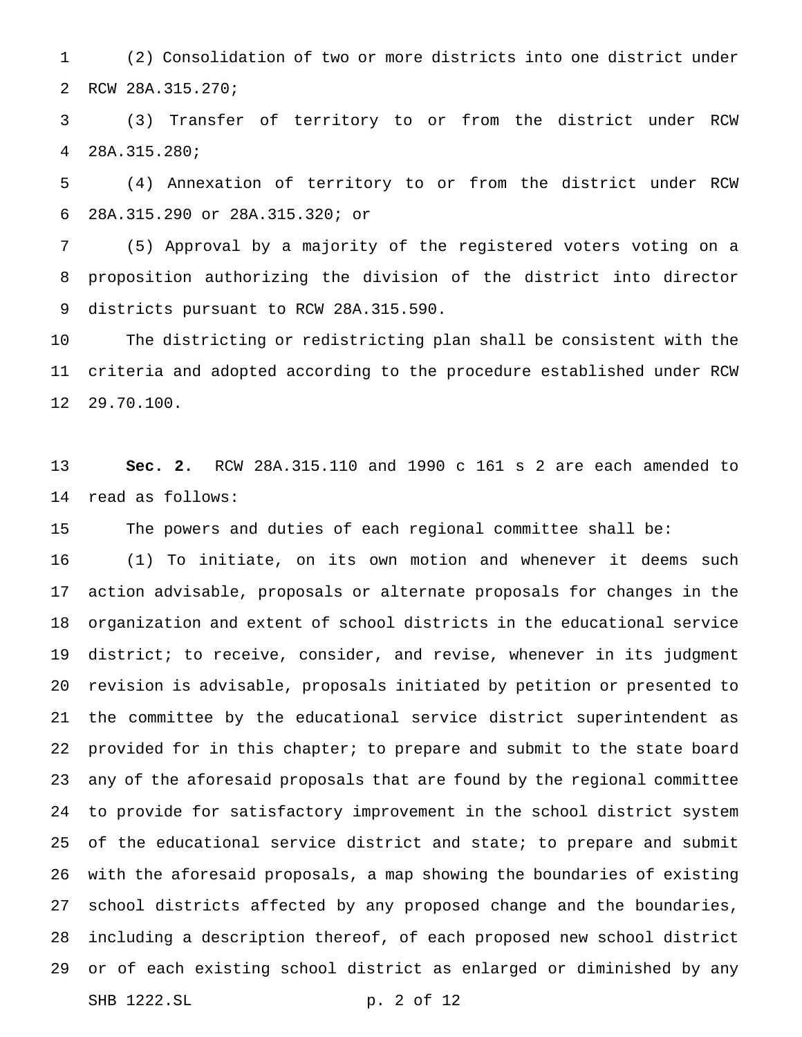(2) Consolidation of two or more districts into one district under RCW 28A.315.270;

 (3) Transfer of territory to or from the district under RCW 28A.315.280;

 (4) Annexation of territory to or from the district under RCW 28A.315.290 or 28A.315.320; or

 (5) Approval by a majority of the registered voters voting on a proposition authorizing the division of the district into director districts pursuant to RCW 28A.315.590.

 The districting or redistricting plan shall be consistent with the criteria and adopted according to the procedure established under RCW 29.70.100.

 **Sec. 2.** RCW 28A.315.110 and 1990 c 161 s 2 are each amended to read as follows:

The powers and duties of each regional committee shall be:

 (1) To initiate, on its own motion and whenever it deems such action advisable, proposals or alternate proposals for changes in the organization and extent of school districts in the educational service district; to receive, consider, and revise, whenever in its judgment revision is advisable, proposals initiated by petition or presented to the committee by the educational service district superintendent as provided for in this chapter; to prepare and submit to the state board any of the aforesaid proposals that are found by the regional committee to provide for satisfactory improvement in the school district system of the educational service district and state; to prepare and submit with the aforesaid proposals, a map showing the boundaries of existing school districts affected by any proposed change and the boundaries, including a description thereof, of each proposed new school district or of each existing school district as enlarged or diminished by any SHB 1222.SL p. 2 of 12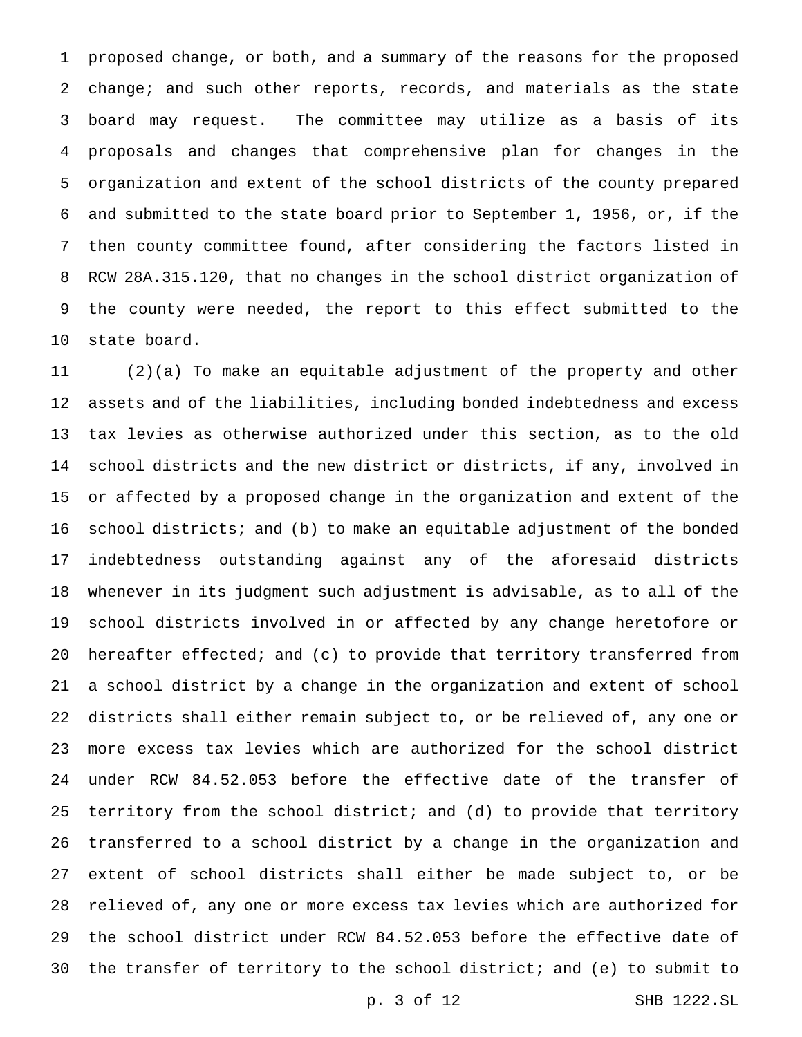proposed change, or both, and a summary of the reasons for the proposed change; and such other reports, records, and materials as the state board may request. The committee may utilize as a basis of its proposals and changes that comprehensive plan for changes in the organization and extent of the school districts of the county prepared and submitted to the state board prior to September 1, 1956, or, if the then county committee found, after considering the factors listed in RCW 28A.315.120, that no changes in the school district organization of the county were needed, the report to this effect submitted to the state board.

 (2)(a) To make an equitable adjustment of the property and other assets and of the liabilities, including bonded indebtedness and excess tax levies as otherwise authorized under this section, as to the old school districts and the new district or districts, if any, involved in or affected by a proposed change in the organization and extent of the school districts; and (b) to make an equitable adjustment of the bonded indebtedness outstanding against any of the aforesaid districts whenever in its judgment such adjustment is advisable, as to all of the school districts involved in or affected by any change heretofore or hereafter effected; and (c) to provide that territory transferred from a school district by a change in the organization and extent of school districts shall either remain subject to, or be relieved of, any one or more excess tax levies which are authorized for the school district under RCW 84.52.053 before the effective date of the transfer of territory from the school district; and (d) to provide that territory transferred to a school district by a change in the organization and extent of school districts shall either be made subject to, or be relieved of, any one or more excess tax levies which are authorized for the school district under RCW 84.52.053 before the effective date of the transfer of territory to the school district; and (e) to submit to

p. 3 of 12 SHB 1222.SL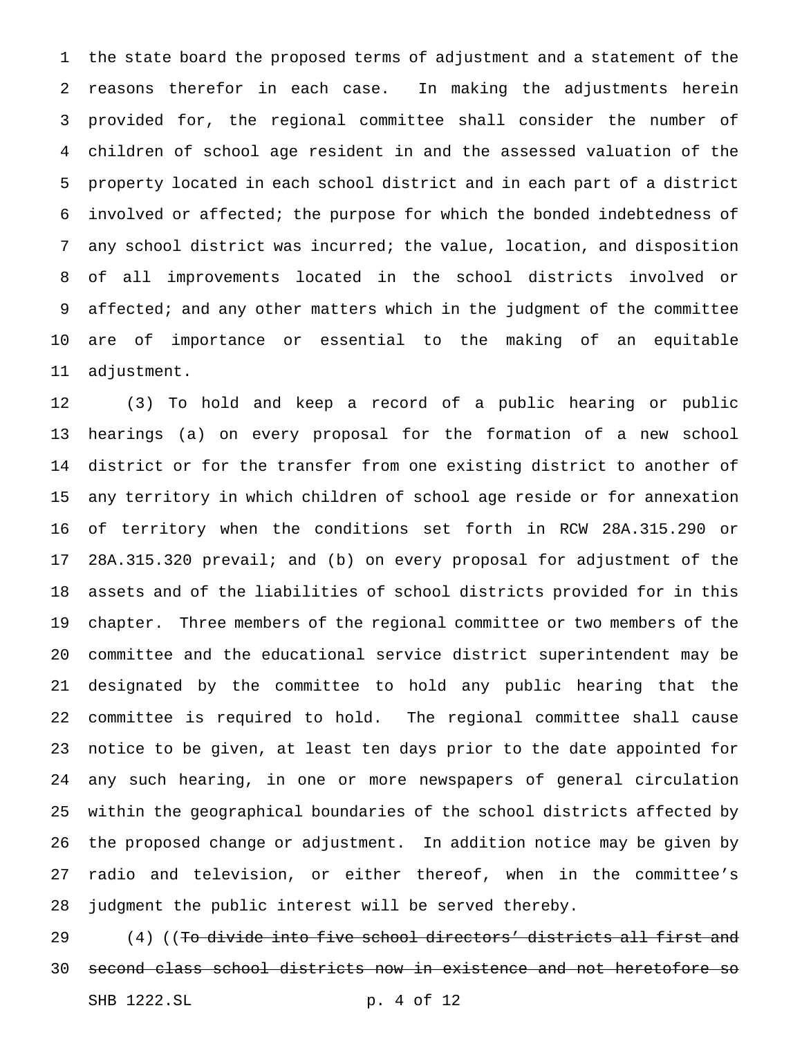the state board the proposed terms of adjustment and a statement of the reasons therefor in each case. In making the adjustments herein provided for, the regional committee shall consider the number of children of school age resident in and the assessed valuation of the property located in each school district and in each part of a district involved or affected; the purpose for which the bonded indebtedness of any school district was incurred; the value, location, and disposition of all improvements located in the school districts involved or 9 affected; and any other matters which in the judgment of the committee are of importance or essential to the making of an equitable adjustment.

 (3) To hold and keep a record of a public hearing or public hearings (a) on every proposal for the formation of a new school district or for the transfer from one existing district to another of any territory in which children of school age reside or for annexation of territory when the conditions set forth in RCW 28A.315.290 or 28A.315.320 prevail; and (b) on every proposal for adjustment of the assets and of the liabilities of school districts provided for in this chapter. Three members of the regional committee or two members of the committee and the educational service district superintendent may be designated by the committee to hold any public hearing that the committee is required to hold. The regional committee shall cause notice to be given, at least ten days prior to the date appointed for any such hearing, in one or more newspapers of general circulation within the geographical boundaries of the school districts affected by the proposed change or adjustment. In addition notice may be given by radio and television, or either thereof, when in the committee's judgment the public interest will be served thereby.

29 (4) ((To divide into five school directors' districts all first and second class school districts now in existence and not heretofore so SHB 1222.SL p. 4 of 12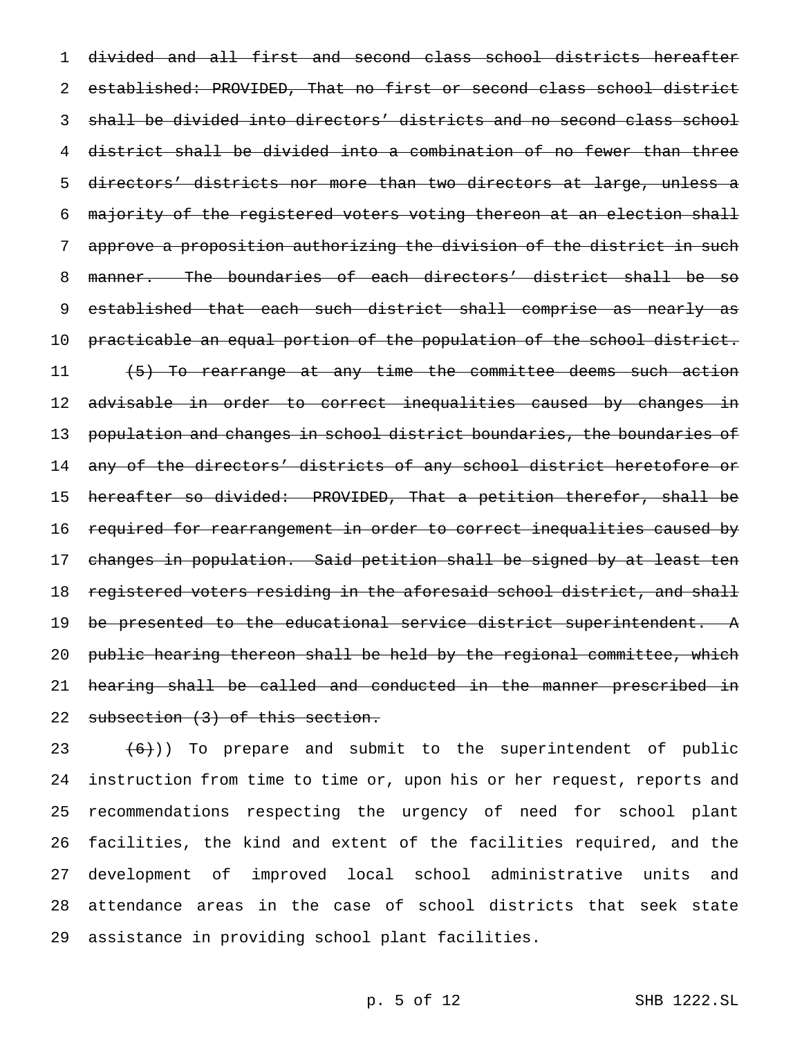divided and all first and second class school districts hereafter established: PROVIDED, That no first or second class school district shall be divided into directors' districts and no second class school district shall be divided into a combination of no fewer than three directors' districts nor more than two directors at large, unless a majority of the registered voters voting thereon at an election shall approve a proposition authorizing the division of the district in such manner. The boundaries of each directors' district shall be so 9 established that each such district shall comprise as nearly as 10 practicable an equal portion of the population of the school district. 11 (5) To rearrange at any time the committee deems such action 12 advisable in order to correct inequalities caused by changes in 13 population and changes in school district boundaries, the boundaries of any of the directors' districts of any school district heretofore or hereafter so divided: PROVIDED, That a petition therefor, shall be required for rearrangement in order to correct inequalities caused by changes in population. Said petition shall be signed by at least ten 18 registered voters residing in the aforesaid school district, and shall 19 be presented to the educational service district superintendent. A public hearing thereon shall be held by the regional committee, which hearing shall be called and conducted in the manner prescribed in 22 subsection (3) of this section.

 $(6)$ )) To prepare and submit to the superintendent of public instruction from time to time or, upon his or her request, reports and recommendations respecting the urgency of need for school plant facilities, the kind and extent of the facilities required, and the development of improved local school administrative units and attendance areas in the case of school districts that seek state assistance in providing school plant facilities.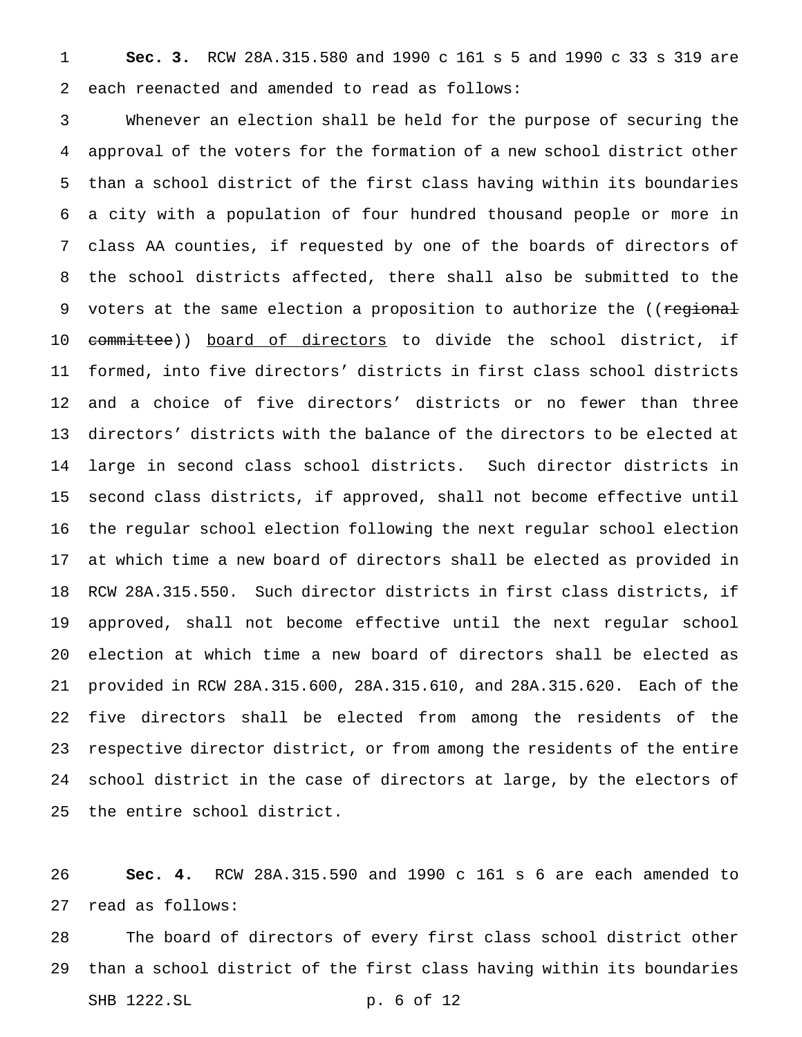**Sec. 3.** RCW 28A.315.580 and 1990 c 161 s 5 and 1990 c 33 s 319 are each reenacted and amended to read as follows:

 Whenever an election shall be held for the purpose of securing the approval of the voters for the formation of a new school district other than a school district of the first class having within its boundaries a city with a population of four hundred thousand people or more in class AA counties, if requested by one of the boards of directors of the school districts affected, there shall also be submitted to the 9 voters at the same election a proposition to authorize the ((regional 10 committee)) board of directors to divide the school district, if formed, into five directors' districts in first class school districts and a choice of five directors' districts or no fewer than three directors' districts with the balance of the directors to be elected at large in second class school districts. Such director districts in second class districts, if approved, shall not become effective until the regular school election following the next regular school election at which time a new board of directors shall be elected as provided in RCW 28A.315.550. Such director districts in first class districts, if approved, shall not become effective until the next regular school election at which time a new board of directors shall be elected as provided in RCW 28A.315.600, 28A.315.610, and 28A.315.620. Each of the five directors shall be elected from among the residents of the respective director district, or from among the residents of the entire school district in the case of directors at large, by the electors of the entire school district.

 **Sec. 4.** RCW 28A.315.590 and 1990 c 161 s 6 are each amended to read as follows:

 The board of directors of every first class school district other than a school district of the first class having within its boundaries SHB 1222.SL p. 6 of 12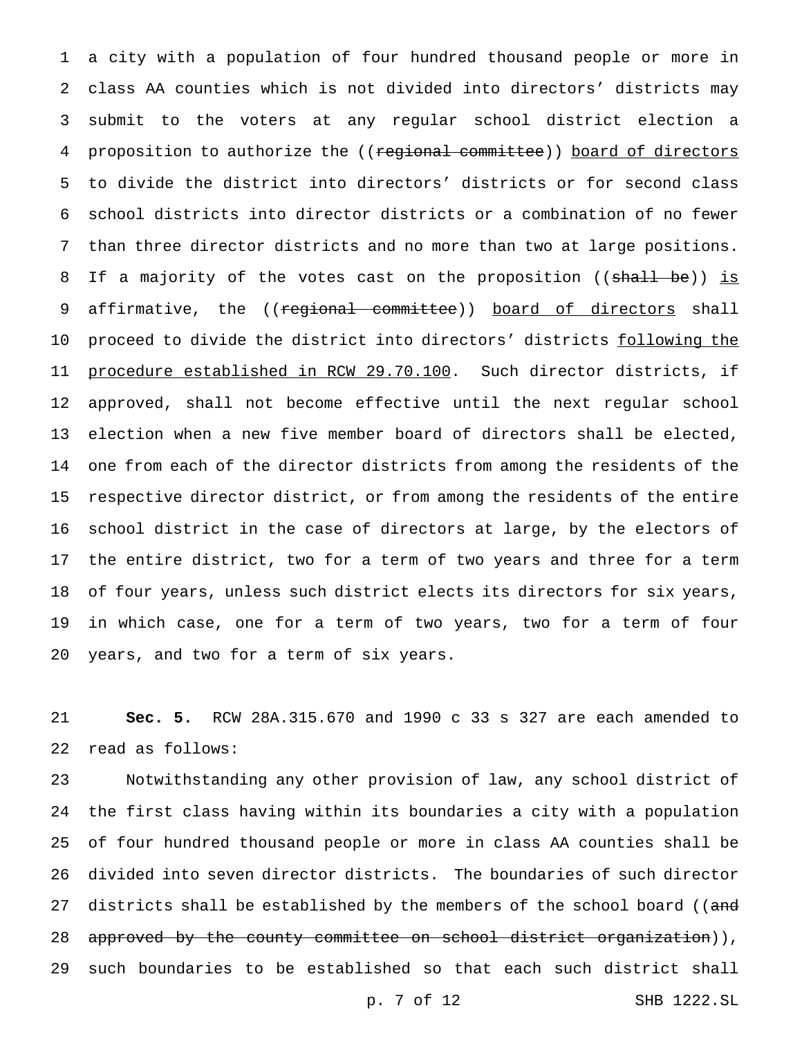a city with a population of four hundred thousand people or more in class AA counties which is not divided into directors' districts may submit to the voters at any regular school district election a 4 proposition to authorize the ((regional committee)) board of directors to divide the district into directors' districts or for second class school districts into director districts or a combination of no fewer than three director districts and no more than two at large positions. 8 If a majority of the votes cast on the proposition ((shall be)) is 9 affirmative, the ((regional committee)) board of directors shall 10 proceed to divide the district into directors' districts following the procedure established in RCW 29.70.100. Such director districts, if approved, shall not become effective until the next regular school election when a new five member board of directors shall be elected, one from each of the director districts from among the residents of the respective director district, or from among the residents of the entire school district in the case of directors at large, by the electors of the entire district, two for a term of two years and three for a term of four years, unless such district elects its directors for six years, in which case, one for a term of two years, two for a term of four years, and two for a term of six years.

 **Sec. 5.** RCW 28A.315.670 and 1990 c 33 s 327 are each amended to read as follows:

 Notwithstanding any other provision of law, any school district of the first class having within its boundaries a city with a population of four hundred thousand people or more in class AA counties shall be divided into seven director districts. The boundaries of such director 27 districts shall be established by the members of the school board ((and 28 approved by the county committee on school district organization)), such boundaries to be established so that each such district shall

p. 7 of 12 SHB 1222.SL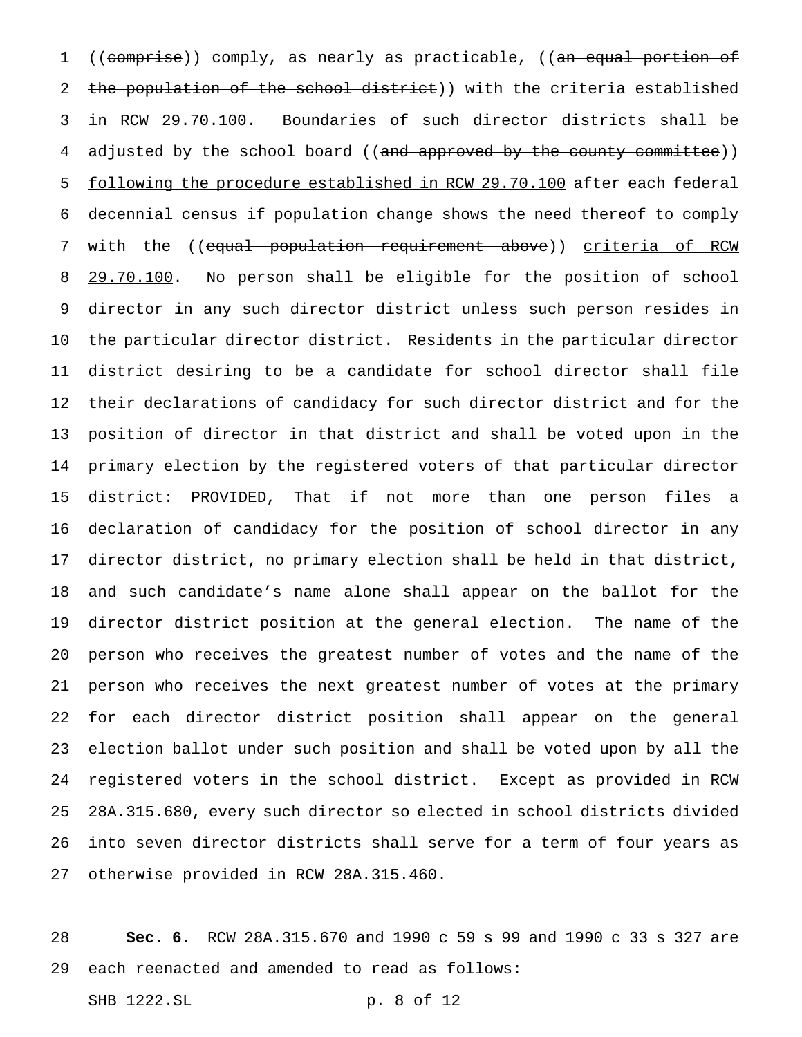1 ((comprise)) comply, as nearly as practicable, ((an equal portion of the population of the school district)) with the criteria established in RCW 29.70.100. Boundaries of such director districts shall be 4 adjusted by the school board ((and approved by the county committee)) 5 following the procedure established in RCW 29.70.100 after each federal decennial census if population change shows the need thereof to comply 7 with the ((equal population requirement above)) criteria of RCW 8 29.70.100. No person shall be eligible for the position of school director in any such director district unless such person resides in the particular director district. Residents in the particular director district desiring to be a candidate for school director shall file their declarations of candidacy for such director district and for the position of director in that district and shall be voted upon in the primary election by the registered voters of that particular director district: PROVIDED, That if not more than one person files a declaration of candidacy for the position of school director in any director district, no primary election shall be held in that district, and such candidate's name alone shall appear on the ballot for the director district position at the general election. The name of the person who receives the greatest number of votes and the name of the person who receives the next greatest number of votes at the primary for each director district position shall appear on the general election ballot under such position and shall be voted upon by all the registered voters in the school district. Except as provided in RCW 28A.315.680, every such director so elected in school districts divided into seven director districts shall serve for a term of four years as otherwise provided in RCW 28A.315.460.

 **Sec. 6.** RCW 28A.315.670 and 1990 c 59 s 99 and 1990 c 33 s 327 are each reenacted and amended to read as follows:

SHB 1222.SL p. 8 of 12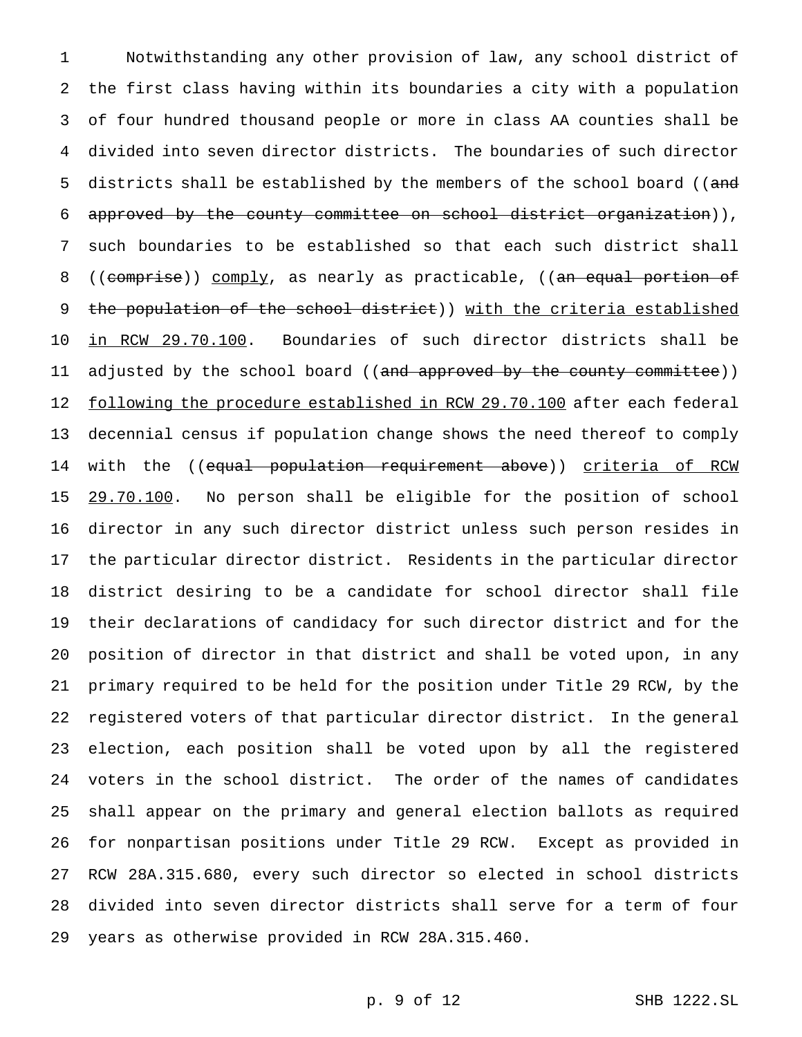Notwithstanding any other provision of law, any school district of the first class having within its boundaries a city with a population of four hundred thousand people or more in class AA counties shall be divided into seven director districts. The boundaries of such director 5 districts shall be established by the members of the school board ((and approved by the county committee on school district organization)), such boundaries to be established so that each such district shall 8 ((comprise)) comply, as nearly as practicable, ((an equal portion of 9 the population of the school district)) with the criteria established in RCW 29.70.100. Boundaries of such director districts shall be 11 adjusted by the school board ((and approved by the county committee)) 12 following the procedure established in RCW 29.70.100 after each federal decennial census if population change shows the need thereof to comply 14 with the ((<del>equal population requirement above</del>)) <u>criteria of RCW</u> 15 29.70.100. No person shall be eligible for the position of school director in any such director district unless such person resides in the particular director district. Residents in the particular director district desiring to be a candidate for school director shall file their declarations of candidacy for such director district and for the position of director in that district and shall be voted upon, in any primary required to be held for the position under Title 29 RCW, by the registered voters of that particular director district. In the general election, each position shall be voted upon by all the registered voters in the school district. The order of the names of candidates shall appear on the primary and general election ballots as required for nonpartisan positions under Title 29 RCW. Except as provided in RCW 28A.315.680, every such director so elected in school districts divided into seven director districts shall serve for a term of four years as otherwise provided in RCW 28A.315.460.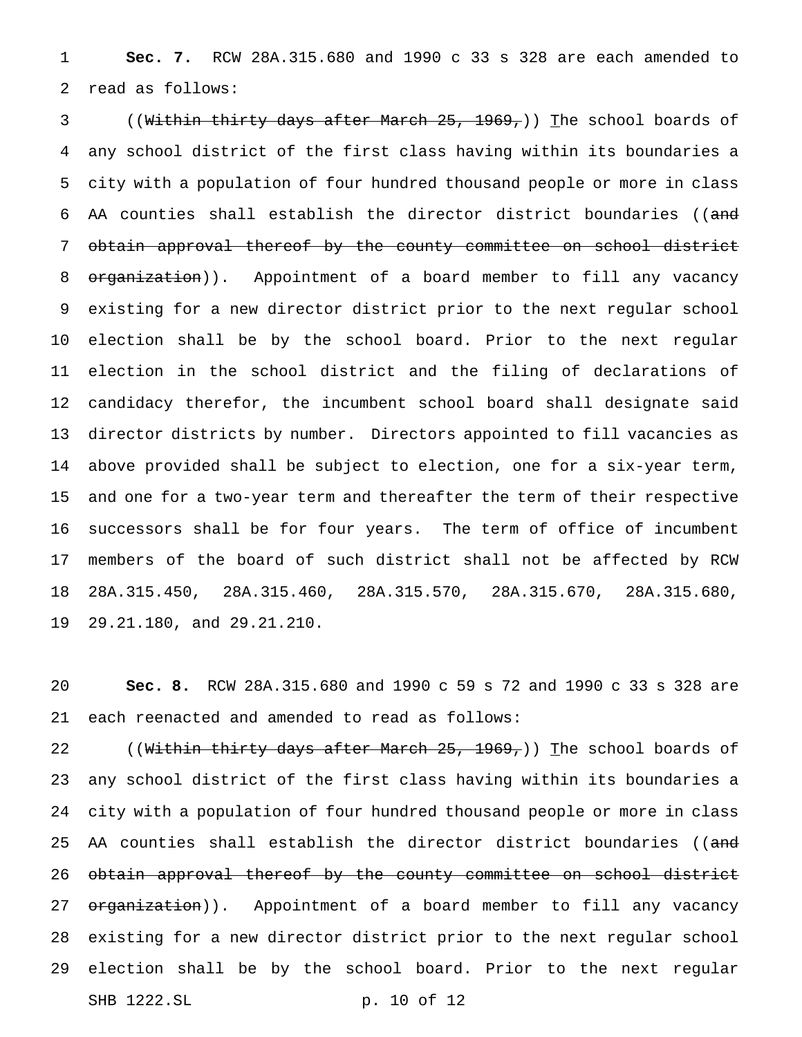**Sec. 7.** RCW 28A.315.680 and 1990 c 33 s 328 are each amended to read as follows:

3 ((<del>Within thirty days after March 25, 1969,</del>)) The school boards of any school district of the first class having within its boundaries a city with a population of four hundred thousand people or more in class AA counties shall establish the director district boundaries ((and obtain approval thereof by the county committee on school district 8 organization)). Appointment of a board member to fill any vacancy existing for a new director district prior to the next regular school election shall be by the school board. Prior to the next regular election in the school district and the filing of declarations of candidacy therefor, the incumbent school board shall designate said director districts by number. Directors appointed to fill vacancies as above provided shall be subject to election, one for a six-year term, and one for a two-year term and thereafter the term of their respective successors shall be for four years. The term of office of incumbent members of the board of such district shall not be affected by RCW 28A.315.450, 28A.315.460, 28A.315.570, 28A.315.670, 28A.315.680, 29.21.180, and 29.21.210.

 **Sec. 8.** RCW 28A.315.680 and 1990 c 59 s 72 and 1990 c 33 s 328 are each reenacted and amended to read as follows:

22 ((Within thirty days after March 25, 1969,)) The school boards of any school district of the first class having within its boundaries a city with a population of four hundred thousand people or more in class 25 AA counties shall establish the director district boundaries ((and 26 obtain approval thereof by the county committee on school district 27 organization)). Appointment of a board member to fill any vacancy existing for a new director district prior to the next regular school election shall be by the school board. Prior to the next regular SHB 1222.SL p. 10 of 12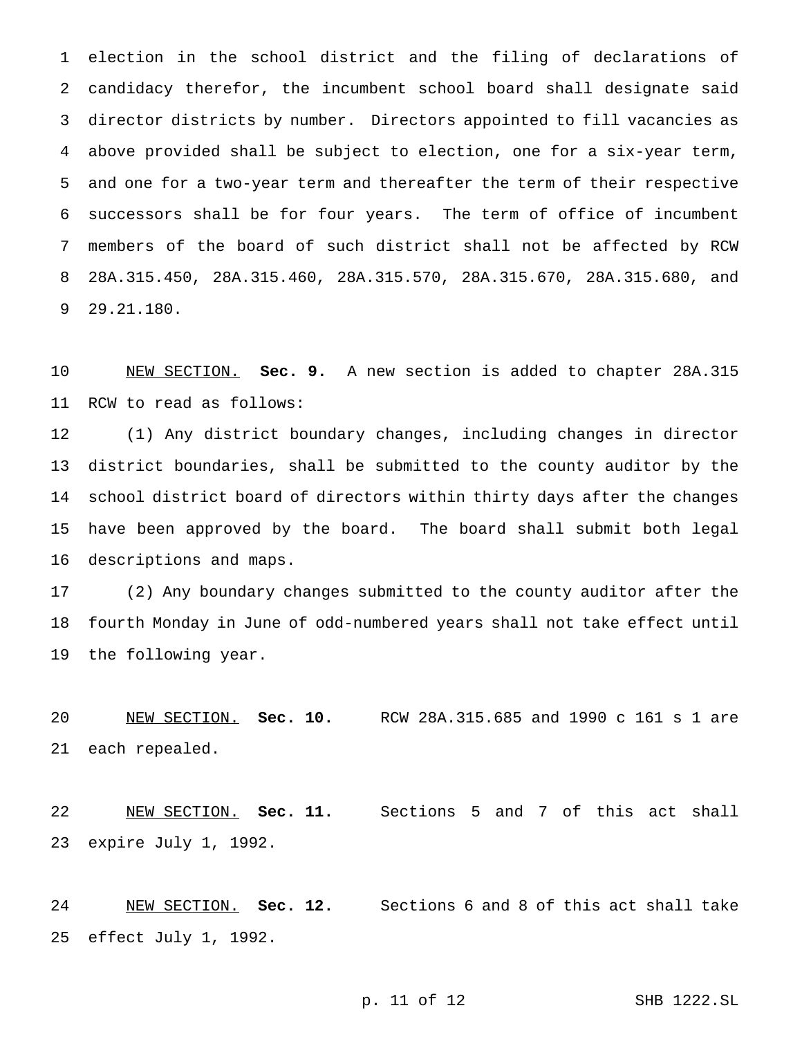election in the school district and the filing of declarations of candidacy therefor, the incumbent school board shall designate said director districts by number. Directors appointed to fill vacancies as above provided shall be subject to election, one for a six-year term, and one for a two-year term and thereafter the term of their respective successors shall be for four years. The term of office of incumbent members of the board of such district shall not be affected by RCW 28A.315.450, 28A.315.460, 28A.315.570, 28A.315.670, 28A.315.680, and 29.21.180.

 NEW SECTION. **Sec. 9.** A new section is added to chapter 28A.315 RCW to read as follows:

 (1) Any district boundary changes, including changes in director district boundaries, shall be submitted to the county auditor by the school district board of directors within thirty days after the changes have been approved by the board. The board shall submit both legal descriptions and maps.

 (2) Any boundary changes submitted to the county auditor after the fourth Monday in June of odd-numbered years shall not take effect until the following year.

 NEW SECTION. **Sec. 10.** RCW 28A.315.685 and 1990 c 161 s 1 are each repealed.

 NEW SECTION. **Sec. 11.** Sections 5 and 7 of this act shall expire July 1, 1992.

 NEW SECTION. **Sec. 12.** Sections 6 and 8 of this act shall take effect July 1, 1992.

p. 11 of 12 SHB 1222.SL